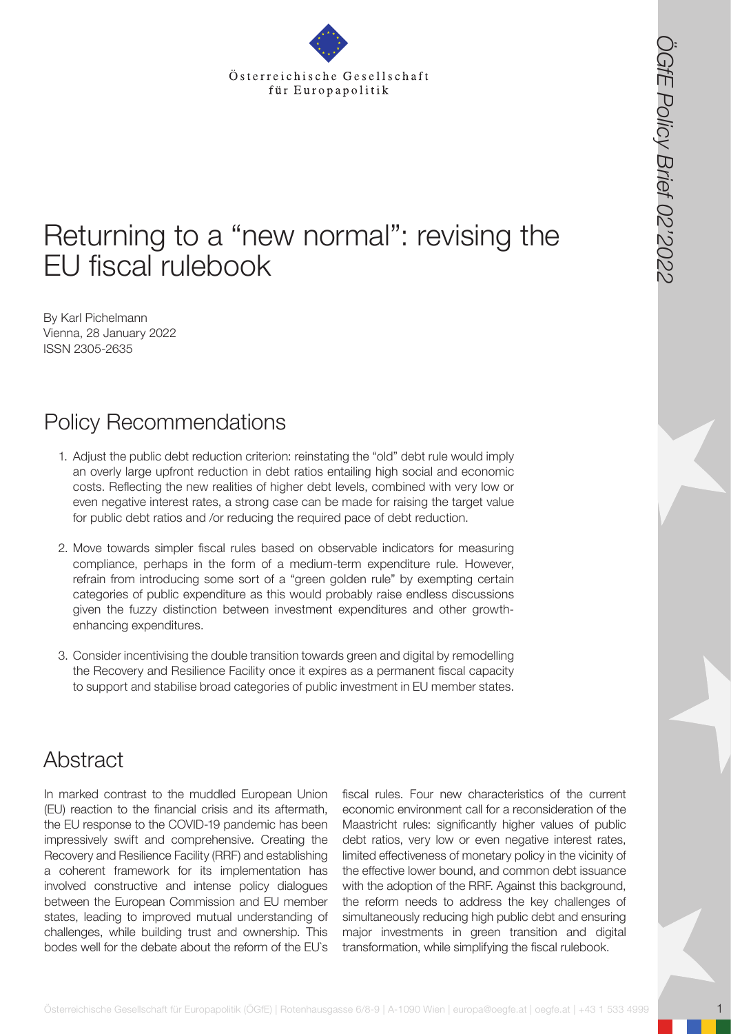# Returning to a "new normal": revising the EU fiscal rulebook

By Karl Pichelmann Vienna, 28 January 2022 ISSN 2305-2635

## Policy Recommendations

- 1. Adjust the public debt reduction criterion: reinstating the "old" debt rule would imply an overly large upfront reduction in debt ratios entailing high social and economic costs. Reflecting the new realities of higher debt levels, combined with very low or even negative interest rates, a strong case can be made for raising the target value for public debt ratios and /or reducing the required pace of debt reduction.
- 2. Move towards simpler fiscal rules based on observable indicators for measuring compliance, perhaps in the form of a medium-term expenditure rule. However, refrain from introducing some sort of a "green golden rule" by exempting certain categories of public expenditure as this would probably raise endless discussions given the fuzzy distinction between investment expenditures and other growthenhancing expenditures.
- 3. Consider incentivising the double transition towards green and digital by remodelling the Recovery and Resilience Facility once it expires as a permanent fiscal capacity to support and stabilise broad categories of public investment in EU member states.

## Abstract

**State Costerreichische Gesellschaft für Europapolitik (CGFE)**<br> **State Costerreichische Gesellschaft für Europapolitik (CGFE)**<br> **State Costerreichische Gesellschaft für Europapolitik (CGFE)**<br> **State Costerre in the costerr** In marked contrast to the muddled European Union (EU) reaction to the financial crisis and its aftermath, the EU response to the COVID-19 pandemic has been impressively swift and comprehensive. Creating the Recovery and Resilience Facility (RRF) and establishing a coherent framework for its implementation has involved constructive and intense policy dialogues between the European Commission and EU member states, leading to improved mutual understanding of challenges, while building trust and ownership. This bodes well for the debate about the reform of the EU`s

fiscal rules. Four new characteristics of the current economic environment call for a reconsideration of the Maastricht rules: significantly higher values of public debt ratios, very low or even negative interest rates, limited effectiveness of monetary policy in the vicinity of the effective lower bound, and common debt issuance with the adoption of the RRF. Against this background, the reform needs to address the key challenges of simultaneously reducing high public debt and ensuring major investments in green transition and digital transformation, while simplifying the fiscal rulebook.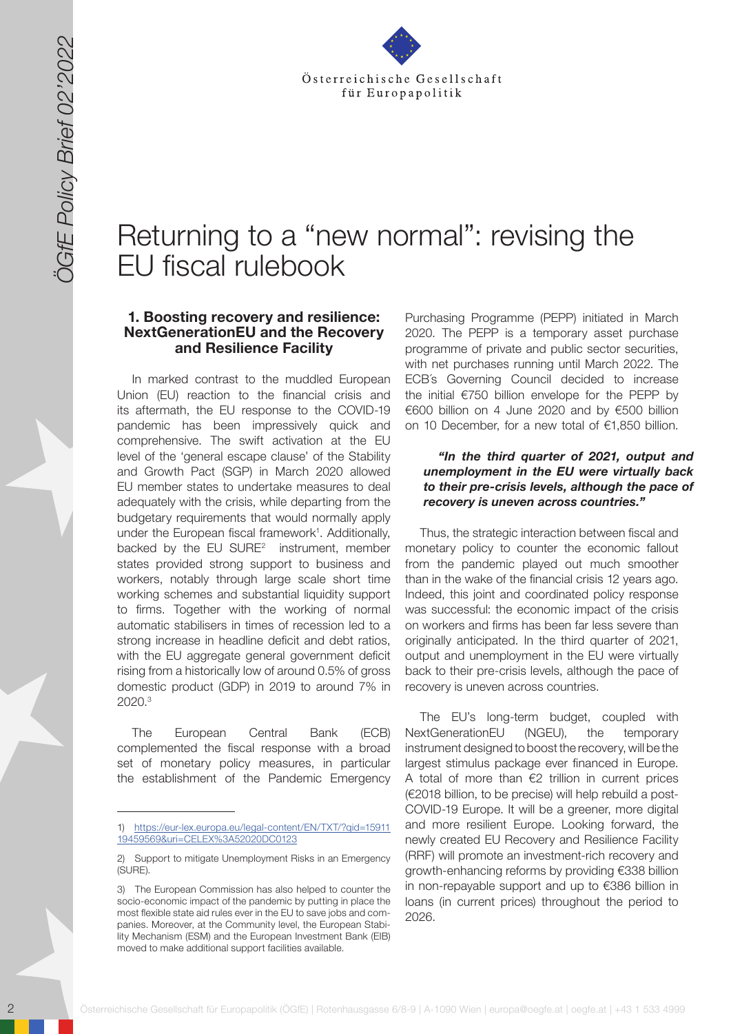

# Returning to a "new normal": revising the EU fiscal rulebook

#### **1. Boosting recovery and resilience: NextGenerationEU and the Recovery and Resilience Facility**

2020<br>
2020 Contribute Gesellschaft für Europapolitik (ÖGfE) | Rote Hammel EFF i illust i Vast<br>
2020 Contract für Europapolitik (ÖGfE) | Rote Hammel EFF i illust i Vast<br>
2020 Contract für Europapolitik (ÖGfE) | Rote Hammel In marked contrast to the muddled European Union (EU) reaction to the financial crisis and its aftermath, the EU response to the COVID-19 pandemic has been impressively quick and comprehensive. The swift activation at the EU level of the 'general escape clause' of the Stability and Growth Pact (SGP) in March 2020 allowed EU member states to undertake measures to deal adequately with the crisis, while departing from the budgetary requirements that would normally apply under the European fiscal framework<sup>1</sup>. Additionally, backed by the  $EU$  SURE<sup>2</sup> instrument, member states provided strong support to business and workers, notably through large scale short time working schemes and substantial liquidity support to firms. Together with the working of normal automatic stabilisers in times of recession led to a strong increase in headline deficit and debt ratios, with the EU aggregate general government deficit rising from a historically low of around 0.5% of gross domestic product (GDP) in 2019 to around 7% in 2020.<sup>3</sup>

The European Central Bank (ECB) complemented the fiscal response with a broad set of monetary policy measures, in particular the establishment of the Pandemic Emergency

Purchasing Programme (PEPP) initiated in March 2020. The PEPP is a temporary asset purchase programme of private and public sector securities, with net purchases running until March 2022. The ECB´s Governing Council decided to increase the initial €750 billion envelope for the PEPP by €600 billion on 4 June 2020 and by €500 billion on 10 December, for a new total of €1,850 billion.

#### *"In the third quarter of 2021, output and unemployment in the EU were virtually back to their pre-crisis levels, although the pace of recovery is uneven across countries."*

Thus, the strategic interaction between fiscal and monetary policy to counter the economic fallout from the pandemic played out much smoother than in the wake of the financial crisis 12 years ago. Indeed, this joint and coordinated policy response was successful: the economic impact of the crisis on workers and firms has been far less severe than originally anticipated. In the third quarter of 2021, output and unemployment in the EU were virtually back to their pre-crisis levels, although the pace of recovery is uneven across countries.

The EU's long-term budget, coupled with NextGenerationEU (NGEU), the temporary instrument designed to boost the recovery, will be the largest stimulus package ever financed in Europe. A total of more than  $€2$  trillion in current prices (€2018 billion, to be precise) will help rebuild a post-COVID-19 Europe. It will be a greener, more digital and more resilient Europe. Looking forward, the newly created EU Recovery and Resilience Facility (RRF) will promote an investment-rich recovery and growth-enhancing reforms by providing €338 billion in non-repayable support and up to €386 billion in loans (in current prices) throughout the period to 2026.

<sup>1)</sup> [https://eur-lex.europa.eu/legal-content/EN/TXT/?qid=15911](https://eur-lex.europa.eu/legal-content/EN/TXT/?qid=1591119459569&uri=CELEX%3A52020DC0123) [19459569&uri=CELEX%3A52020DC0123](https://eur-lex.europa.eu/legal-content/EN/TXT/?qid=1591119459569&uri=CELEX%3A52020DC0123)

<sup>2)</sup> Support to mitigate Unemployment Risks in an Emergency (SURE).

<sup>3)</sup> The European Commission has also helped to counter the socio-economic impact of the pandemic by putting in place the most flexible state aid rules ever in the EU to save jobs and companies. Moreover, at the Community level, the European Stability Mechanism (ESM) and the European Investment Bank (EIB) moved to make additional support facilities available.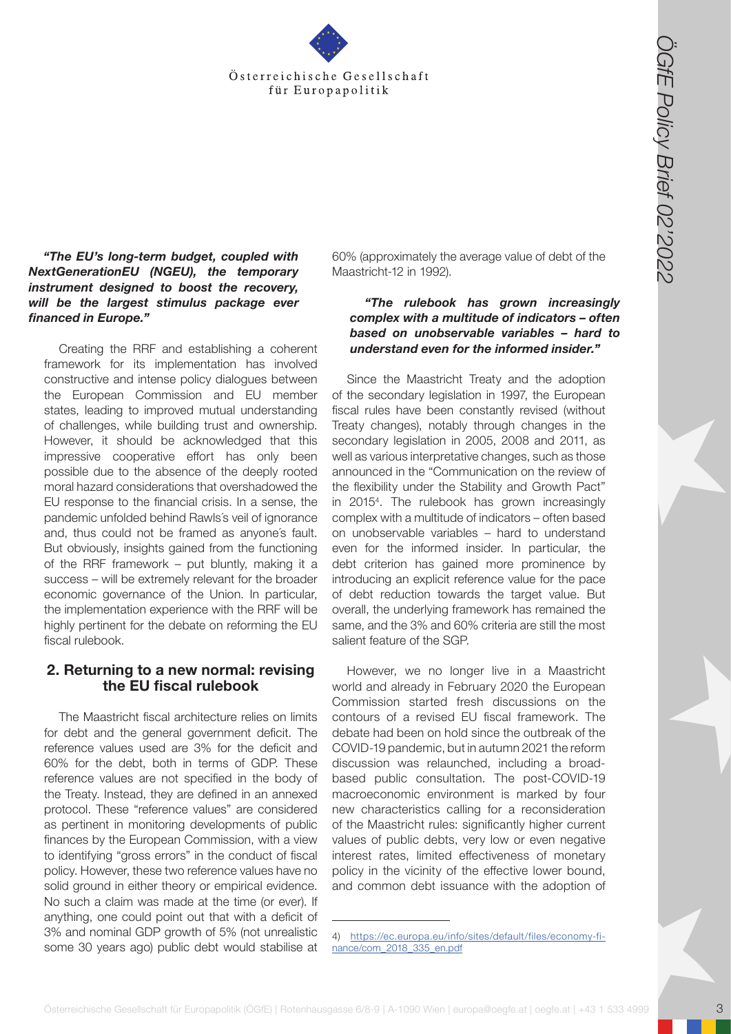

#### *"The EU's long-term budget, coupled with NextGenerationEU (NGEU), the temporary instrument designed to boost the recovery, will be the largest stimulus package ever financed in Europe."*

**Osterreichische Gesellschaft für Europapolitik (Cffe) | Rotenhausgasse 6/8-9 | A-1090 Wien | Europapolitik (ÖGfE) | Rotenhausgasse 6/8-9 | A-1090 Wien | Europapolitik (ÖGfE) | A-1090 Wien | Europapolitik (ÖGfE) | Rotenhau** Creating the RRF and establishing a coherent framework for its implementation has involved constructive and intense policy dialogues between the European Commission and EU member states, leading to improved mutual understanding of challenges, while building trust and ownership. However, it should be acknowledged that this impressive cooperative effort has only been possible due to the absence of the deeply rooted moral hazard considerations that overshadowed the EU response to the financial crisis. In a sense, the pandemic unfolded behind Rawls´s veil of ignorance and, thus could not be framed as anyone´s fault. But obviously, insights gained from the functioning of the RRF framework – put bluntly, making it a success – will be extremely relevant for the broader economic governance of the Union. In particular, the implementation experience with the RRF will be highly pertinent for the debate on reforming the EU fiscal rulebook.

### **2. Returning to a new normal: revising the EU fiscal rulebook**

The Maastricht fiscal architecture relies on limits for debt and the general government deficit. The reference values used are 3% for the deficit and 60% for the debt, both in terms of GDP. These reference values are not specified in the body of the Treaty. Instead, they are defined in an annexed protocol. These "reference values" are considered as pertinent in monitoring developments of public finances by the European Commission, with a view to identifying "gross errors" in the conduct of fiscal policy. However, these two reference values have no solid ground in either theory or empirical evidence. No such a claim was made at the time (or ever). If anything, one could point out that with a deficit of 3% and nominal GDP growth of 5% (not unrealistic some 30 years ago) public debt would stabilise at 60% (approximately the average value of debt of the Maastricht-12 in 1992).

### *"The rulebook has grown increasingly complex with a multitude of indicators – often based on unobservable variables – hard to understand even for the informed insider."*

Since the Maastricht Treaty and the adoption of the secondary legislation in 1997, the European fiscal rules have been constantly revised (without Treaty changes), notably through changes in the secondary legislation in 2005, 2008 and 2011, as well as various interpretative changes, such as those announced in the "Communication on the review of the flexibility under the Stability and Growth Pact" in 20154 . The rulebook has grown increasingly complex with a multitude of indicators – often based on unobservable variables – hard to understand even for the informed insider. In particular, the debt criterion has gained more prominence by introducing an explicit reference value for the pace of debt reduction towards the target value. But overall, the underlying framework has remained the same, and the 3% and 60% criteria are still the most salient feature of the SGP.

However, we no longer live in a Maastricht world and already in February 2020 the European Commission started fresh discussions on the contours of a revised EU fiscal framework. The debate had been on hold since the outbreak of the COVID-19 pandemic, but in autumn 2021 the reform discussion was relaunched, including a broadbased public consultation. The post-COVID-19 macroeconomic environment is marked by four new characteristics calling for a reconsideration of the Maastricht rules: significantly higher current values of public debts, very low or even negative interest rates, limited effectiveness of monetary policy in the vicinity of the effective lower bound, and common debt issuance with the adoption of

<sup>4)</sup> [https://ec.europa.eu/info/sites/default/files/economy-fi](https://ec.europa.eu/info/sites/default/files/economy-finance/com_2018_335_en.pdf)[nance/com\\_2018\\_335\\_en.pdf](https://ec.europa.eu/info/sites/default/files/economy-finance/com_2018_335_en.pdf)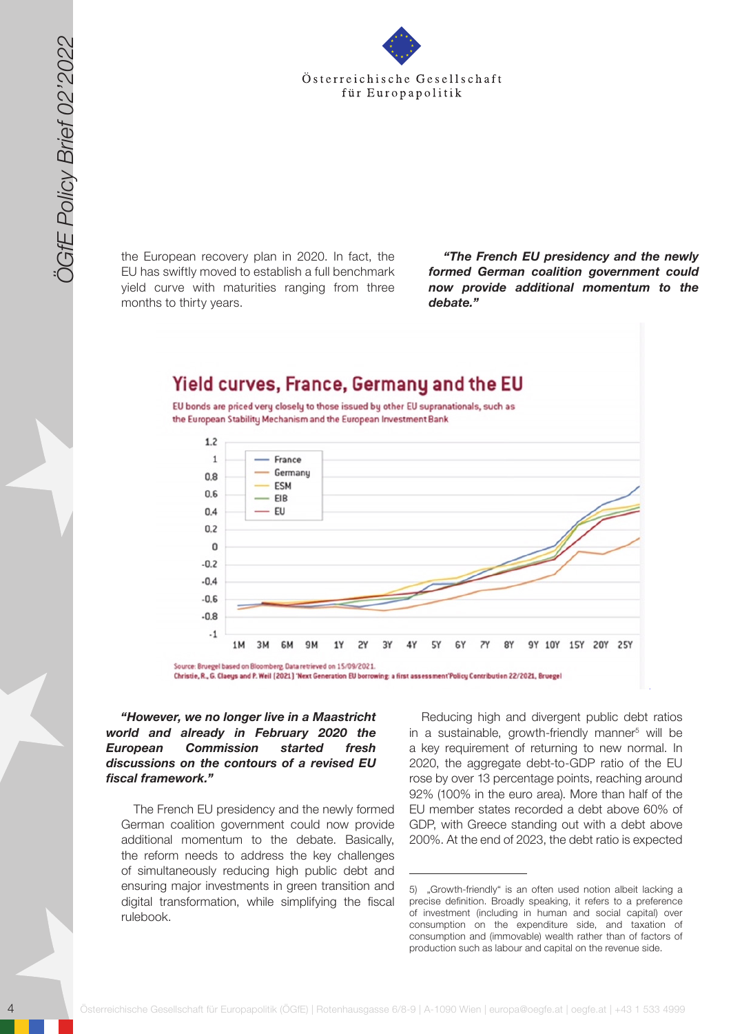

the European recovery plan in 2020. In fact, the EU has swiftly moved to establish a full benchmark yield curve with maturities ranging from three months to thirty years.

*"The French EU presidency and the newly formed German coalition government could now provide additional momentum to the debate."* 



*"However, we no longer live in a Maastricht world and already in February 2020 the European Commission started fresh discussions on the contours of a revised EU fiscal framework."* 

The French EU presidency and the newly formed German coalition government could now provide additional momentum to the debate. Basically, the reform needs to address the key challenges of simultaneously reducing high public debt and ensuring major investments in green transition and digital transformation, while simplifying the fiscal rulebook.

Reducing high and divergent public debt ratios in a sustainable, growth-friendly manner<sup>5</sup> will be a key requirement of returning to new normal. In 2020, the aggregate debt-to-GDP ratio of the EU rose by over 13 percentage points, reaching around 92% (100% in the euro area). More than half of the EU member states recorded a debt above 60% of GDP, with Greece standing out with a debt above 200%. At the end of 2023, the debt ratio is expected

<sup>5)</sup> "Growth-friendly" is an often used notion albeit lacking a precise definition. Broadly speaking, it refers to a preference of investment (including in human and social capital) over consumption on the expenditure side, and taxation of consumption and (immovable) wealth rather than of factors of production such as labour and capital on the revenue side.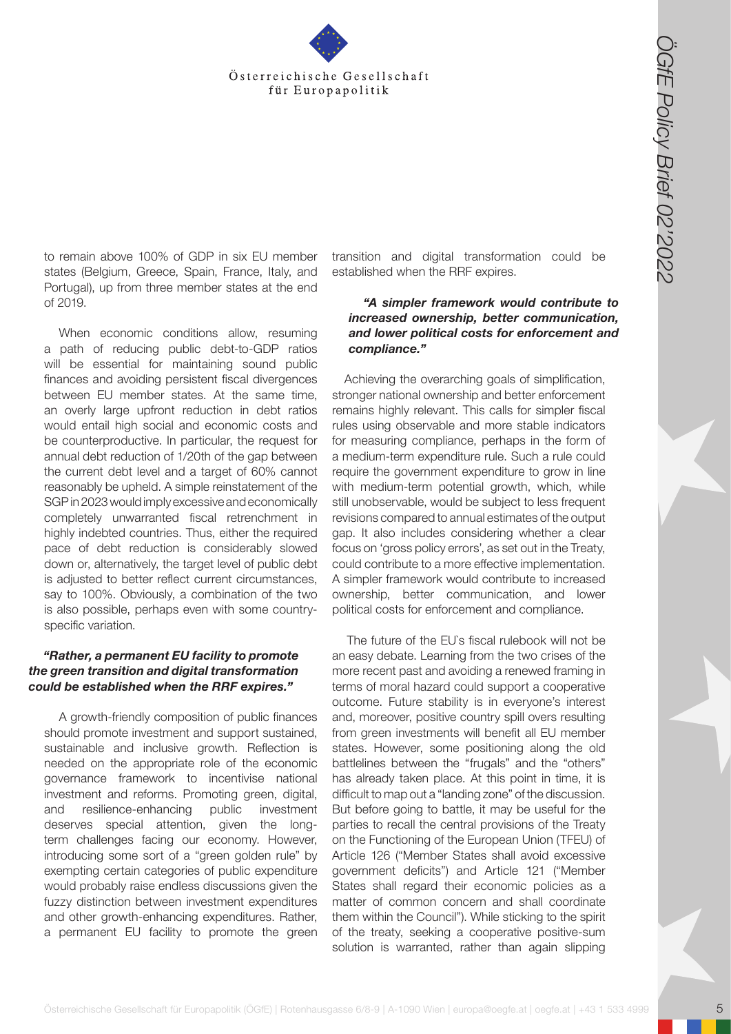

to remain above 100% of GDP in six EU member states (Belgium, Greece, Spain, France, Italy, and Portugal), up from three member states at the end of 2019.

When economic conditions allow, resuming a path of reducing public debt-to-GDP ratios will be essential for maintaining sound public finances and avoiding persistent fiscal divergences between EU member states. At the same time, an overly large upfront reduction in debt ratios would entail high social and economic costs and be counterproductive. In particular, the request for annual debt reduction of 1/20th of the gap between the current debt level and a target of 60% cannot reasonably be upheld. A simple reinstatement of the SGP in 2023 would imply excessive and economically completely unwarranted fiscal retrenchment in highly indebted countries. Thus, either the required pace of debt reduction is considerably slowed down or, alternatively, the target level of public debt is adjusted to better reflect current circumstances, say to 100%. Obviously, a combination of the two is also possible, perhaps even with some countryspecific variation.

#### *"Rather, a permanent EU facility to promote the green transition and digital transformation could be established when the RRF expires."*

A growth-friendly composition of public finances should promote investment and support sustained, sustainable and inclusive growth. Reflection is needed on the appropriate role of the economic governance framework to incentivise national investment and reforms. Promoting green, digital, and resilience-enhancing public investment deserves special attention, given the longterm challenges facing our economy. However, introducing some sort of a "green golden rule" by exempting certain categories of public expenditure would probably raise endless discussions given the fuzzy distinction between investment expenditures and other growth-enhancing expenditures. Rather, a permanent EU facility to promote the green

transition and digital transformation could be established when the RRF expires.

#### *"A simpler framework would contribute to increased ownership, better communication, and lower political costs for enforcement and compliance."*

Achieving the overarching goals of simplification, stronger national ownership and better enforcement remains highly relevant. This calls for simpler fiscal rules using observable and more stable indicators for measuring compliance, perhaps in the form of a medium-term expenditure rule. Such a rule could require the government expenditure to grow in line with medium-term potential growth, which, while still unobservable, would be subject to less frequent revisions compared to annual estimates of the output gap. It also includes considering whether a clear focus on 'gross policy errors', as set out in the Treaty, could contribute to a more effective implementation. A simpler framework would contribute to increased ownership, better communication, and lower political costs for enforcement and compliance.

**Osterreichische Gesellschaft für Europapolitik (Controller osterreichische Gesellschaft für Europapolitik (Controller osterreichische Gesellschaft für Europapolitik (Controller osterreichische Gesellschaft für Europapolit** The future of the EU`s fiscal rulebook will not be an easy debate. Learning from the two crises of the more recent past and avoiding a renewed framing in terms of moral hazard could support a cooperative outcome. Future stability is in everyone's interest and, moreover, positive country spill overs resulting from green investments will benefit all EU member states. However, some positioning along the old battlelines between the "frugals" and the "others" has already taken place. At this point in time, it is difficult to map out a "landing zone" of the discussion. But before going to battle, it may be useful for the parties to recall the central provisions of the Treaty on the Functioning of the European Union (TFEU) of Article 126 ("Member States shall avoid excessive government deficits") and Article 121 ("Member States shall regard their economic policies as a matter of common concern and shall coordinate them within the Council"). While sticking to the spirit of the treaty, seeking a cooperative positive-sum solution is warranted, rather than again slipping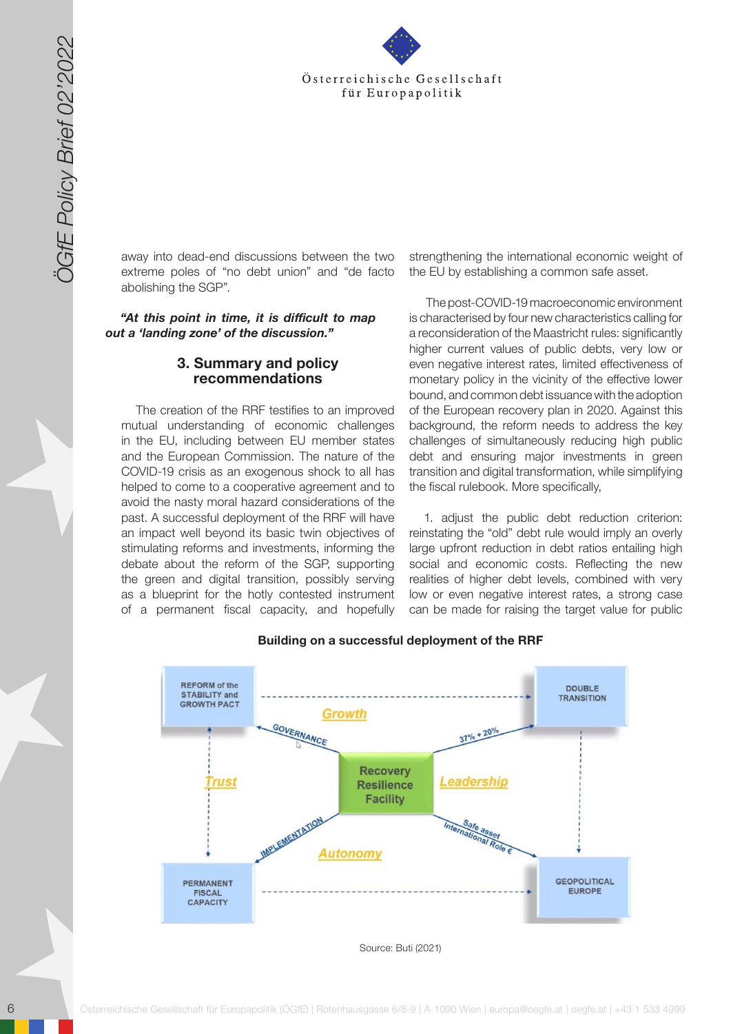

away into dead-end discussions between the two extreme poles of "no debt union" and "de facto abolishing the SGP".

*"At this point in time, it is difficult to map out a 'landing zone' of the discussion."* 

#### **3. Summary and policy recommendations**

The creation of the RRF testifies to an improved mutual understanding of economic challenges in the EU, including between EU member states and the European Commission. The nature of the COVID-19 crisis as an exogenous shock to all has helped to come to a cooperative agreement and to avoid the nasty moral hazard considerations of the past. A successful deployment of the RRF will have an impact well beyond its basic twin objectives of stimulating reforms and investments, informing the debate about the reform of the SGP, supporting the green and digital transition, possibly serving as a blueprint for the hotly contested instrument of a permanent fiscal capacity, and hopefully

strengthening the international economic weight of the EU by establishing a common safe asset.

 The post-COVID-19 macroeconomic environment is characterised by four new characteristics calling for a reconsideration of the Maastricht rules: significantly higher current values of public debts, very low or even negative interest rates, limited effectiveness of monetary policy in the vicinity of the effective lower bound, and common debt issuance with the adoption of the European recovery plan in 2020. Against this background, the reform needs to address the key challenges of simultaneously reducing high public debt and ensuring major investments in green transition and digital transformation, while simplifying the fiscal rulebook. More specifically,

1. adjust the public debt reduction criterion: reinstating the "old" debt rule would imply an overly large upfront reduction in debt ratios entailing high social and economic costs. Reflecting the new realities of higher debt levels, combined with very low or even negative interest rates, a strong case can be made for raising the target value for public



#### **Building on a successful deployment of the RRF**

Source: Buti (2021)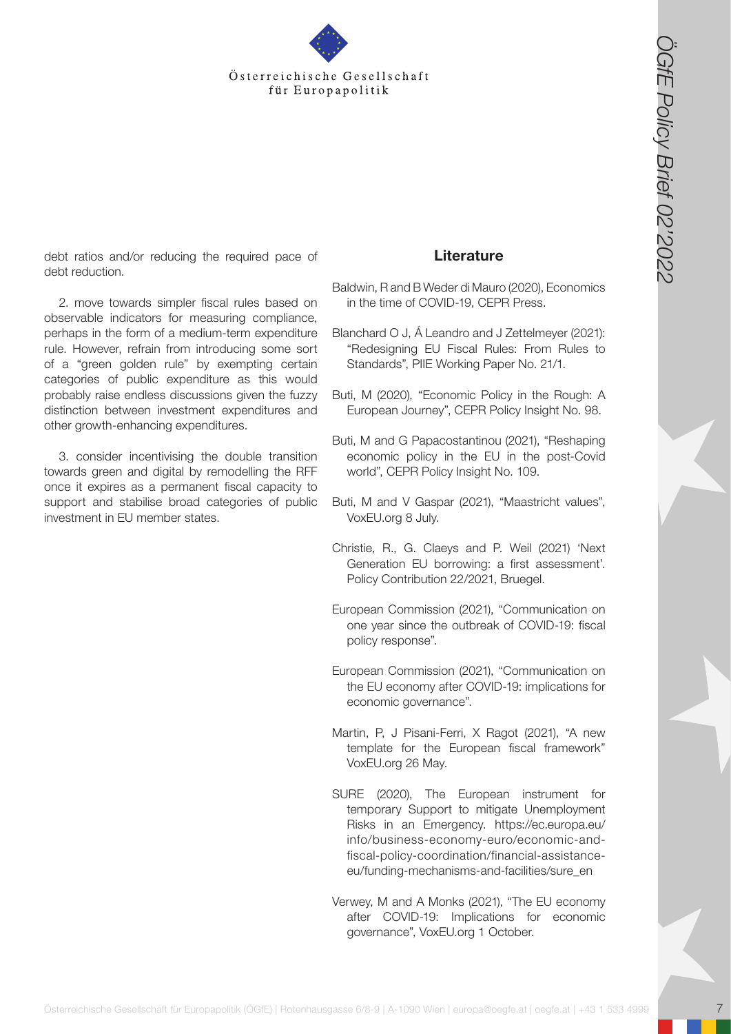

debt ratios and/or reducing the required pace of debt reduction.

Österreichische Gesellschaft<br>
(in Europapolitik (Constrained Gesellschaft)<br>
Schward Manual Gesellschaft für Europapolitik (Constrained Manua Gesellschaft)<br>
Schward Manua (Constrained Gesellschaft für Europapolitik (Const 2. move towards simpler fiscal rules based on observable indicators for measuring compliance, perhaps in the form of a medium-term expenditure rule. However, refrain from introducing some sort of a "green golden rule" by exempting certain categories of public expenditure as this would probably raise endless discussions given the fuzzy distinction between investment expenditures and other growth-enhancing expenditures.

3. consider incentivising the double transition towards green and digital by remodelling the RFF once it expires as a permanent fiscal capacity to support and stabilise broad categories of public investment in EU member states.

### **Literature**

Baldwin, R and B Weder di Mauro (2020), Economics in the time of COVID-19, CEPR Press.

Blanchard O J, Á Leandro and J Zettelmeyer (2021): "Redesigning EU Fiscal Rules: From Rules to Standards", PIIE Working Paper No. 21/1.

- Buti, M (2020), "Economic Policy in the Rough: A European Journey", CEPR Policy Insight No. 98.
- Buti, M and G Papacostantinou (2021), "Reshaping economic policy in the EU in the post-Covid world", CEPR Policy Insight No. 109.
- Buti, M and V Gaspar (2021), "Maastricht values", VoxEU.org 8 July.
- Christie, R., G. Claeys and P. Weil (2021) 'Next Generation EU borrowing: a first assessment'. Policy Contribution 22/2021, Bruegel.
- European Commission (2021), "Communication on one year since the outbreak of COVID-19: fiscal policy response".
- European Commission (2021), "Communication on the EU economy after COVID-19: implications for economic governance".
- Martin, P, J Pisani-Ferri, X Ragot (2021), "A new template for the European fiscal framework" VoxEU.org 26 May.
- SURE (2020), The European instrument for temporary Support to mitigate Unemployment Risks in an Emergency. https://ec.europa.eu/ info/business-economy-euro/economic-andfiscal-policy-coordination/financial-assistanceeu/funding-mechanisms-and-facilities/sure\_en
- Verwey, M and A Monks (2021), "The EU economy after COVID-19: Implications for economic governance", VoxEU.org 1 October.